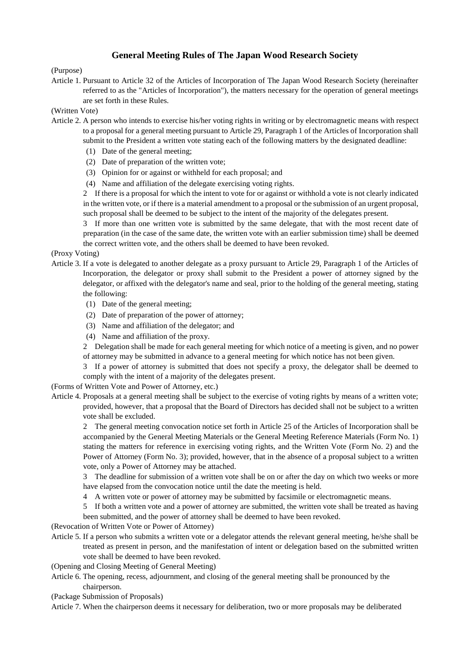# **General Meeting Rules of The Japan Wood Research Society**

### (Purpose)

Article 1. Pursuant to Article 32 of the Articles of Incorporation of The Japan Wood Research Society (hereinafter referred to as the "Articles of Incorporation"), the matters necessary for the operation of general meetings are set forth in these Rules.

#### (Written Vote)

- Article 2. A person who intends to exercise his/her voting rights in writing or by electromagnetic means with respect to a proposal for a general meeting pursuant to Article 29, Paragraph 1 of the Articles of Incorporation shall submit to the President a written vote stating each of the following matters by the designated deadline:
	- (1) Date of the general meeting;
	- (2) Date of preparation of the written vote;
	- (3) Opinion for or against or withheld for each proposal; and
	- (4) Name and affiliation of the delegate exercising voting rights.

2 If there is a proposal for which the intent to vote for or against or withhold a vote is not clearly indicated in the written vote, or if there is a material amendment to a proposal or the submission of an urgent proposal, such proposal shall be deemed to be subject to the intent of the majority of the delegates present.

3 If more than one written vote is submitted by the same delegate, that with the most recent date of preparation (in the case of the same date, the written vote with an earlier submission time) shall be deemed the correct written vote, and the others shall be deemed to have been revoked.

#### (Proxy Voting)

- Article 3. If a vote is delegated to another delegate as a proxy pursuant to Article 29, Paragraph 1 of the Articles of Incorporation, the delegator or proxy shall submit to the President a power of attorney signed by the delegator, or affixed with the delegator's name and seal, prior to the holding of the general meeting, stating the following:
	- (1) Date of the general meeting;
	- (2) Date of preparation of the power of attorney;
	- (3) Name and affiliation of the delegator; and
	- (4) Name and affiliation of the proxy.

2 Delegation shall be made for each general meeting for which notice of a meeting is given, and no power of attorney may be submitted in advance to a general meeting for which notice has not been given.

3 If a power of attorney is submitted that does not specify a proxy, the delegator shall be deemed to comply with the intent of a majority of the delegates present.

(Forms of Written Vote and Power of Attorney, etc.)

Article 4. Proposals at a general meeting shall be subject to the exercise of voting rights by means of a written vote; provided, however, that a proposal that the Board of Directors has decided shall not be subject to a written vote shall be excluded.

2 The general meeting convocation notice set forth in Article 25 of the Articles of Incorporation shall be accompanied by the General Meeting Materials or the General Meeting Reference Materials (Form No. 1) stating the matters for reference in exercising voting rights, and the Written Vote (Form No. 2) and the Power of Attorney (Form No. 3); provided, however, that in the absence of a proposal subject to a written vote, only a Power of Attorney may be attached.

3 The deadline for submission of a written vote shall be on or after the day on which two weeks or more have elapsed from the convocation notice until the date the meeting is held.

- 4 A written vote or power of attorney may be submitted by facsimile or electromagnetic means.
- 5 If both a written vote and a power of attorney are submitted, the written vote shall be treated as having been submitted, and the power of attorney shall be deemed to have been revoked.
- (Revocation of Written Vote or Power of Attorney)
- Article 5. If a person who submits a written vote or a delegator attends the relevant general meeting, he/she shall be treated as present in person, and the manifestation of intent or delegation based on the submitted written vote shall be deemed to have been revoked.
- (Opening and Closing Meeting of General Meeting)
- Article 6. The opening, recess, adjournment, and closing of the general meeting shall be pronounced by the chairperson.
- (Package Submission of Proposals)

Article 7. When the chairperson deems it necessary for deliberation, two or more proposals may be deliberated